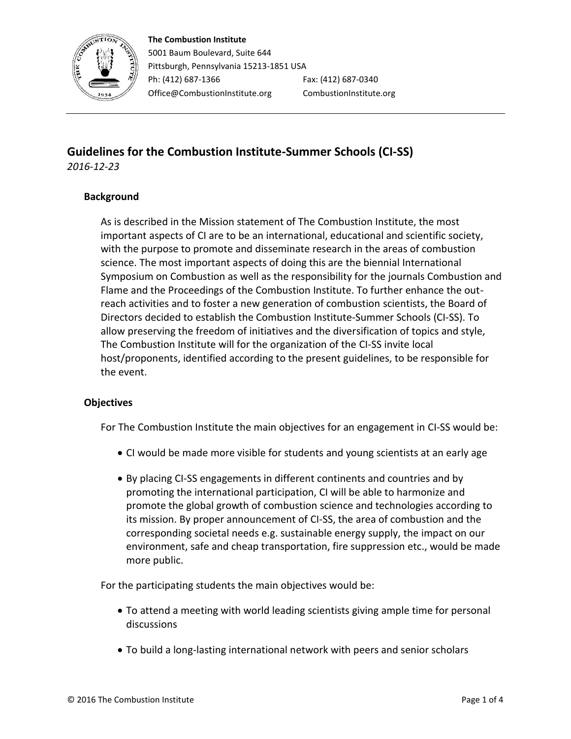

## **The Combustion Institute**

5001 Baum Boulevard, Suite 644 Pittsburgh, Pennsylvania 15213-1851 USA Ph: (412) 687-1366 Fax: (412) 687-0340 Office@CombustionInstitute.org CombustionInstitute.org

# **Guidelines for the Combustion Institute-Summer Schools (CI-SS)** *2016-12-23*

## **Background**

As is described in the Mission statement of The Combustion Institute, the most important aspects of CI are to be an international, educational and scientific society, with the purpose to promote and disseminate research in the areas of combustion science. The most important aspects of doing this are the biennial International Symposium on Combustion as well as the responsibility for the journals Combustion and Flame and the Proceedings of the Combustion Institute. To further enhance the outreach activities and to foster a new generation of combustion scientists, the Board of Directors decided to establish the Combustion Institute-Summer Schools (CI-SS). To allow preserving the freedom of initiatives and the diversification of topics and style, The Combustion Institute will for the organization of the CI-SS invite local host/proponents, identified according to the present guidelines, to be responsible for the event.

### **Objectives**

For The Combustion Institute the main objectives for an engagement in CI-SS would be:

- CI would be made more visible for students and young scientists at an early age
- By placing CI-SS engagements in different continents and countries and by promoting the international participation, CI will be able to harmonize and promote the global growth of combustion science and technologies according to its mission. By proper announcement of CI-SS, the area of combustion and the corresponding societal needs e.g. sustainable energy supply, the impact on our environment, safe and cheap transportation, fire suppression etc., would be made more public.

For the participating students the main objectives would be:

- To attend a meeting with world leading scientists giving ample time for personal discussions
- To build a long-lasting international network with peers and senior scholars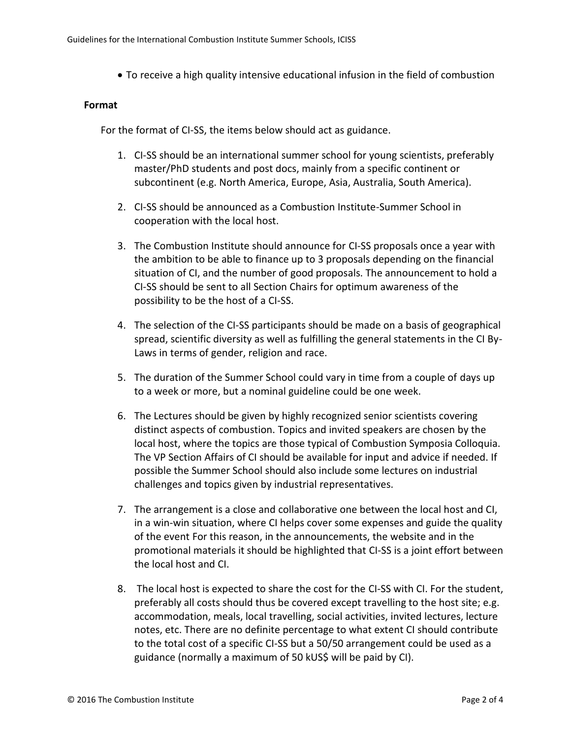To receive a high quality intensive educational infusion in the field of combustion

#### **Format**

For the format of CI-SS, the items below should act as guidance.

- 1. CI-SS should be an international summer school for young scientists, preferably master/PhD students and post docs, mainly from a specific continent or subcontinent (e.g. North America, Europe, Asia, Australia, South America).
- 2. CI-SS should be announced as a Combustion Institute-Summer School in cooperation with the local host.
- 3. The Combustion Institute should announce for CI-SS proposals once a year with the ambition to be able to finance up to 3 proposals depending on the financial situation of CI, and the number of good proposals. The announcement to hold a CI-SS should be sent to all Section Chairs for optimum awareness of the possibility to be the host of a CI-SS.
- 4. The selection of the CI-SS participants should be made on a basis of geographical spread, scientific diversity as well as fulfilling the general statements in the CI By-Laws in terms of gender, religion and race.
- 5. The duration of the Summer School could vary in time from a couple of days up to a week or more, but a nominal guideline could be one week.
- 6. The Lectures should be given by highly recognized senior scientists covering distinct aspects of combustion. Topics and invited speakers are chosen by the local host, where the topics are those typical of Combustion Symposia Colloquia. The VP Section Affairs of CI should be available for input and advice if needed. If possible the Summer School should also include some lectures on industrial challenges and topics given by industrial representatives.
- 7. The arrangement is a close and collaborative one between the local host and CI, in a win-win situation, where CI helps cover some expenses and guide the quality of the event For this reason, in the announcements, the website and in the promotional materials it should be highlighted that CI-SS is a joint effort between the local host and CI.
- 8. The local host is expected to share the cost for the CI-SS with CI. For the student, preferably all costs should thus be covered except travelling to the host site; e.g. accommodation, meals, local travelling, social activities, invited lectures, lecture notes, etc. There are no definite percentage to what extent CI should contribute to the total cost of a specific CI-SS but a 50/50 arrangement could be used as a guidance (normally a maximum of 50 kUS\$ will be paid by CI).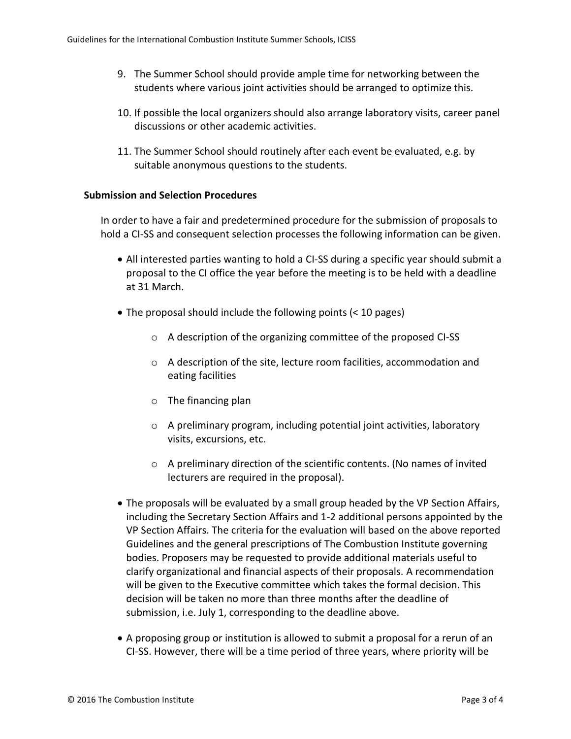- 9. The Summer School should provide ample time for networking between the students where various joint activities should be arranged to optimize this.
- 10. If possible the local organizers should also arrange laboratory visits, career panel discussions or other academic activities.
- 11. The Summer School should routinely after each event be evaluated, e.g. by suitable anonymous questions to the students.

#### **Submission and Selection Procedures**

In order to have a fair and predetermined procedure for the submission of proposals to hold a CI-SS and consequent selection processes the following information can be given.

- All interested parties wanting to hold a CI-SS during a specific year should submit a proposal to the CI office the year before the meeting is to be held with a deadline at 31 March.
- The proposal should include the following points (< 10 pages)
	- o A description of the organizing committee of the proposed CI-SS
	- o A description of the site, lecture room facilities, accommodation and eating facilities
	- o The financing plan
	- o A preliminary program, including potential joint activities, laboratory visits, excursions, etc.
	- o A preliminary direction of the scientific contents. (No names of invited lecturers are required in the proposal).
- The proposals will be evaluated by a small group headed by the VP Section Affairs, including the Secretary Section Affairs and 1-2 additional persons appointed by the VP Section Affairs. The criteria for the evaluation will based on the above reported Guidelines and the general prescriptions of The Combustion Institute governing bodies. Proposers may be requested to provide additional materials useful to clarify organizational and financial aspects of their proposals. A recommendation will be given to the Executive committee which takes the formal decision. This decision will be taken no more than three months after the deadline of submission, i.e. July 1, corresponding to the deadline above.
- A proposing group or institution is allowed to submit a proposal for a rerun of an CI-SS. However, there will be a time period of three years, where priority will be